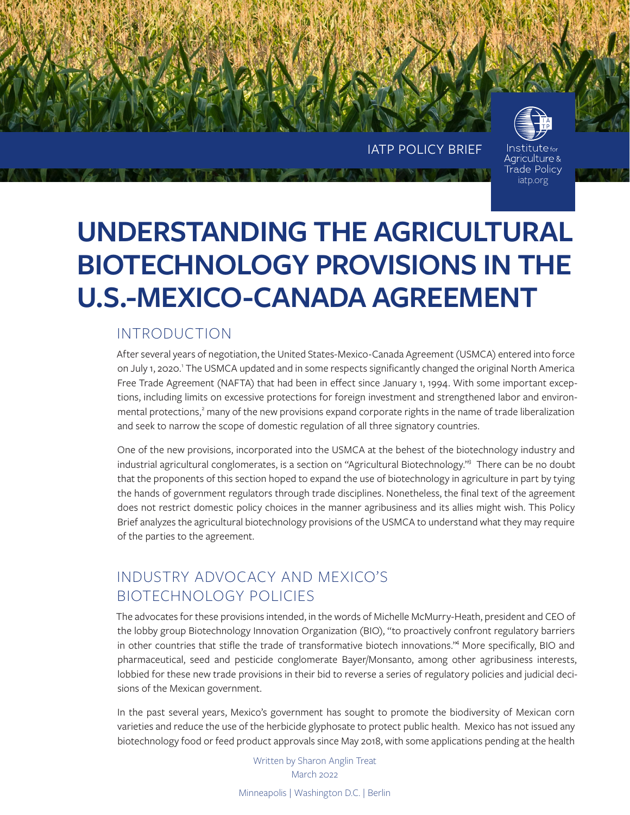

Institute<sub>for</sub> Agriculture & Trade Policy

IATP POLICY BRIEF

iatp.org

# <span id="page-0-0"></span>**UNDERSTANDING THE AGRICULTURAL BIOTECHNOLOGY PROVISIONS IN THE U.S.-MEXICO-CANADA AGREEMENT**

## INTRODUCTION

After several years of negotiation, the United States-Mexico-Canada Agreement (USMCA) entered into force on July 1, 2020.<sup>1</sup> The USMCA updated and in some respects significantly changed the original North America Free Trade Agreement (NAFTA) that had been in effect since January 1, 1994. With some important exceptions, including limits on excessive protections for foreign investment and strengthened labor and environ-mental protections,<sup>[2](#page-5-0)</sup> many of the new provisions expand corporate rights in the name of trade liberalization and seek to narrow the scope of domestic regulation of all three signatory countries.

One of the new provisions, incorporated into the USMCA at the behest of the biotechnology industry and industrial agricultural conglomerates, is a section on "Agricultural Biotechnology."<sup>3</sup> There can be no doubt that the proponents of this section hoped to expand the use of biotechnology in agriculture in part by tying the hands of government regulators through trade disciplines. Nonetheless, the final text of the agreement does not restrict domestic policy choices in the manner agribusiness and its allies might wish. This Policy Brief analyzes the agricultural biotechnology provisions of the USMCA to understand what they may require of the parties to the agreement.

## INDUSTRY ADVOCACY AND MEXICO'S BIOTECHNOLOGY POLICIES

The advocates for these provisions intended, in the words of Michelle McMurry-Heath, president and CEO of the lobby group Biotechnology Innovation Organization (BIO), "to proactively confront regulatory barriers in other countries that stifle the trade of transformative biotech innovations.<sup>24</sup> More specifically, BIO and pharmaceutical, seed and pesticide conglomerate Bayer/Monsanto, among other agribusiness interests, lobbied for these new trade provisions in their bid to reverse a series of regulatory policies and judicial decisions of the Mexican government.

In the past several years, Mexico's government has sought to promote the biodiversity of Mexican corn varieties and reduce the use of the herbicide glyphosate to protect public health. Mexico has not issued any biotechnology food or feed product approvals since May 2018, with some applications pending at the health

> Written by Sharon Anglin Treat March 2022 Minneapolis | Washington D.C. | Berlin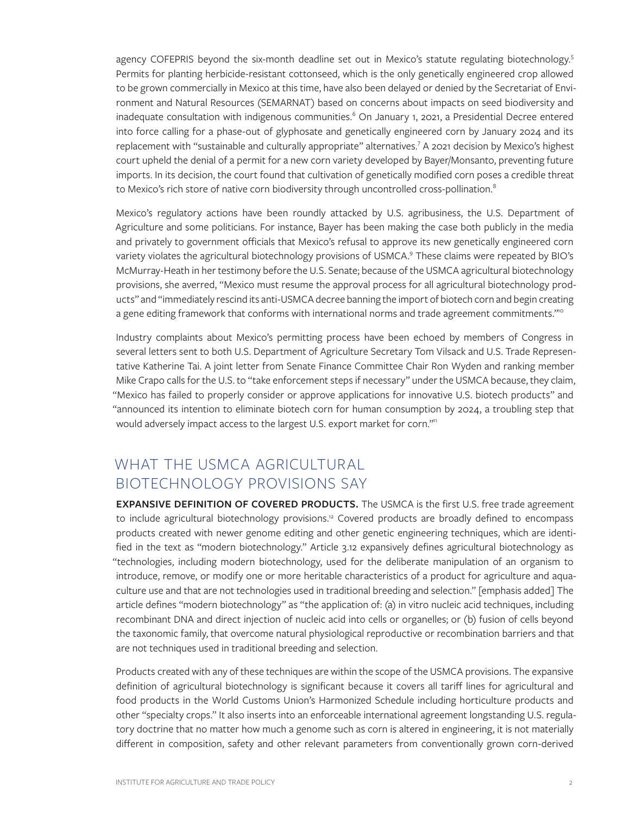<span id="page-1-0"></span>agency COFEPRIS beyond the six-month deadline set out in Mexico's statute regulating biotechnology.<sup>[5](#page-5-0)</sup> Permits for planting herbicide-resistant cottonseed, which is the only genetically engineered crop allowed to be grown commercially in Mexico at this time, have also been delayed or denied by the Secretariat of Environment and Natural Resources (SEMARNAT) based on concerns about impacts on seed biodiversity and inadequate consultation with indigenous communities.<sup>[6](#page-5-0)</sup> On January 1, 2021, a Presidential Decree entered into force calling for a phase-out of glyphosate and genetically engineered corn by January 2024 and its replacement with "sustainable and culturally appropriate" alternatives.<sup>[7](#page-5-0)</sup> A 2021 decision by Mexico's highest court upheld the denial of a permit for a new corn variety developed by Bayer/Monsanto, preventing future imports. In its decision, the court found that cultivation of genetically modified corn poses a credible threat to Mexico's rich store of native corn biodiversity through uncontrolled cross-pollination.<sup>[8](#page-5-0)</sup>

Mexico's regulatory actions have been roundly attacked by U.S. agribusiness, the U.S. Department of Agriculture and some politicians. For instance, Bayer has been making the case both publicly in the media and privately to government officials that Mexico's refusal to approve its new genetically engineered corn variety violates the agricultural biotechnology provisions of USMCA.<sup>9</sup> These claims were repeated by BIO's McMurray-Heath in her testimony before the U.S. Senate; because of the USMCA agricultural biotechnology provisions, she averred, "Mexico must resume the approval process for all agricultural biotechnology products" and "immediately rescind its anti-USMCA decree banning the import of biotech corn and begin creating a gene editing framework that conforms with international norms and trade agreement commitments."<sup>10</sup>

Industry complaints about Mexico's permitting process have been echoed by members of Congress in several letters sent to both U.S. Department of Agriculture Secretary Tom Vilsack and U.S. Trade Representative Katherine Tai. A joint letter from Senate Finance Committee Chair Ron Wyden and ranking member Mike Crapo calls for the U.S. to "take enforcement steps if necessary" under the USMCA because, they claim, "Mexico has failed to properly consider or approve applications for innovative U.S. biotech products" and "announced its intention to eliminate biotech corn for human consumption by 2024, a troubling step that would adversely impact access to the largest U.S. export market for corn."<sup>11</sup>

## WHAT THE USMCA AGRICULTURAL BIOTECHNOLOGY PROVISIONS SAY

**EXPANSIVE DEFINITION OF COVERED PRODUCTS.** The USMCA is the first U.S. free trade agreement to include agricultural biotechnology provisions.<sup>[12](#page-5-0)</sup> Covered products are broadly defined to encompass products created with newer genome editing and other genetic engineering techniques, which are identified in the text as "modern biotechnology." Article 3.12 expansively defines agricultural biotechnology as "technologies, including modern biotechnology, used for the deliberate manipulation of an organism to introduce, remove, or modify one or more heritable characteristics of a product for agriculture and aquaculture use and that are not technologies used in traditional breeding and selection." [emphasis added] The article defines "modern biotechnology" as "the application of: (a) in vitro nucleic acid techniques, including recombinant DNA and direct injection of nucleic acid into cells or organelles; or (b) fusion of cells beyond the taxonomic family, that overcome natural physiological reproductive or recombination barriers and that are not techniques used in traditional breeding and selection.

Products created with any of these techniques are within the scope of the USMCA provisions. The expansive definition of agricultural biotechnology is significant because it covers all tariff lines for agricultural and food products in the World Customs Union's Harmonized Schedule including horticulture products and other "specialty crops." It also inserts into an enforceable international agreement longstanding U.S. regulatory doctrine that no matter how much a genome such as corn is altered in engineering, it is not materially different in composition, safety and other relevant parameters from conventionally grown corn-derived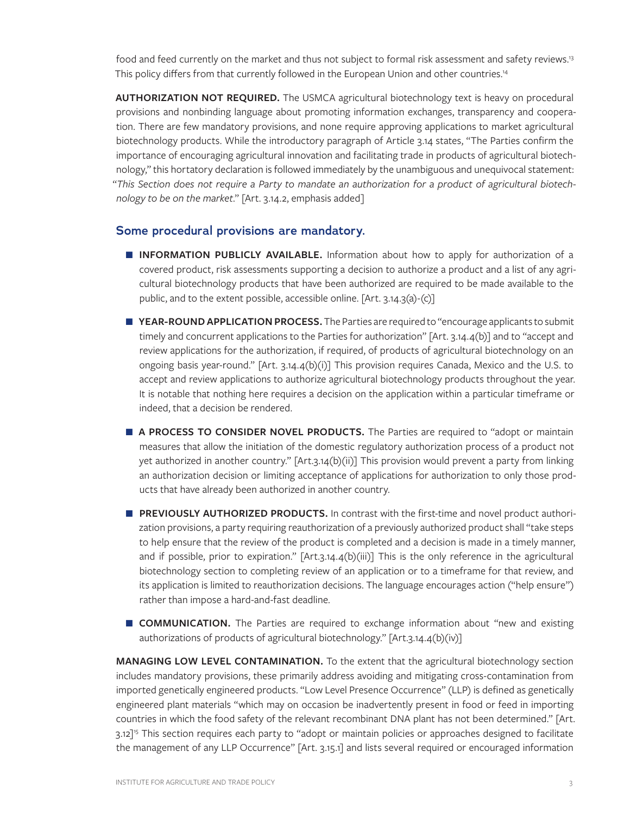<span id="page-2-0"></span>food and feed currently on the market and thus not subject to formal risk assessment and safety reviews.<sup>13</sup> This policy differs from that currently followed in the European Union and other countries.<sup>[14](#page-6-0)</sup>

**AUTHORIZATION NOT REQUIRED.** The USMCA agricultural biotechnology text is heavy on procedural provisions and nonbinding language about promoting information exchanges, transparency and cooperation. There are few mandatory provisions, and none require approving applications to market agricultural biotechnology products. While the introductory paragraph of Article 3.14 states, "The Parties confirm the importance of encouraging agricultural innovation and facilitating trade in products of agricultural biotechnology," this hortatory declaration is followed immediately by the unambiguous and unequivocal statement: "*This Section does not require a Party to mandate an authorization for a product of agricultural biotechnology to be on the market*." [Art. 3.14.2, emphasis added]

#### **Some procedural provisions are mandatory.**

- **INFORMATION PUBLICLY AVAILABLE.** Information about how to apply for authorization of a covered product, risk assessments supporting a decision to authorize a product and a list of any agricultural biotechnology products that have been authorized are required to be made available to the public, and to the extent possible, accessible online. [Art. 3.14.3(a)-(c)]
- **YEAR-ROUND APPLICATION PROCESS.** The Parties are required to "encourage applicants to submit timely and concurrent applications to the Parties for authorization" [Art. 3.14.4(b)] and to "accept and review applications for the authorization, if required, of products of agricultural biotechnology on an ongoing basis year-round." [Art. 3.14.4(b)(i)] This provision requires Canada, Mexico and the U.S. to accept and review applications to authorize agricultural biotechnology products throughout the year. It is notable that nothing here requires a decision on the application within a particular timeframe or indeed, that a decision be rendered.
- **A PROCESS TO CONSIDER NOVEL PRODUCTS.** The Parties are required to "adopt or maintain measures that allow the initiation of the domestic regulatory authorization process of a product not yet authorized in another country." [Art.3.14(b)(ii)] This provision would prevent a party from linking an authorization decision or limiting acceptance of applications for authorization to only those products that have already been authorized in another country.
- **PREVIOUSLY AUTHORIZED PRODUCTS.** In contrast with the first-time and novel product authorization provisions, a party requiring reauthorization of a previously authorized product shall "take steps to help ensure that the review of the product is completed and a decision is made in a timely manner, and if possible, prior to expiration." [Art.3.14.4(b)(iii)] This is the only reference in the agricultural biotechnology section to completing review of an application or to a timeframe for that review, and its application is limited to reauthorization decisions. The language encourages action ("help ensure") rather than impose a hard-and-fast deadline.
- **COMMUNICATION.** The Parties are required to exchange information about "new and existing authorizations of products of agricultural biotechnology." [Art.3.14.4(b)(iv)]

**MANAGING LOW LEVEL CONTAMINATION.** To the extent that the agricultural biotechnology section includes mandatory provisions, these primarily address avoiding and mitigating cross-contamination from imported genetically engineered products. "Low Level Presence Occurrence" (LLP) is defined as genetically engineered plant materials "which may on occasion be inadvertently present in food or feed in importing countries in which the food safety of the relevant recombinant DNA plant has not been determined." [Art. 3.12[\]15](#page-6-0) This section requires each party to "adopt or maintain policies or approaches designed to facilitate the management of any LLP Occurrence" [Art. 3.15.1] and lists several required or encouraged information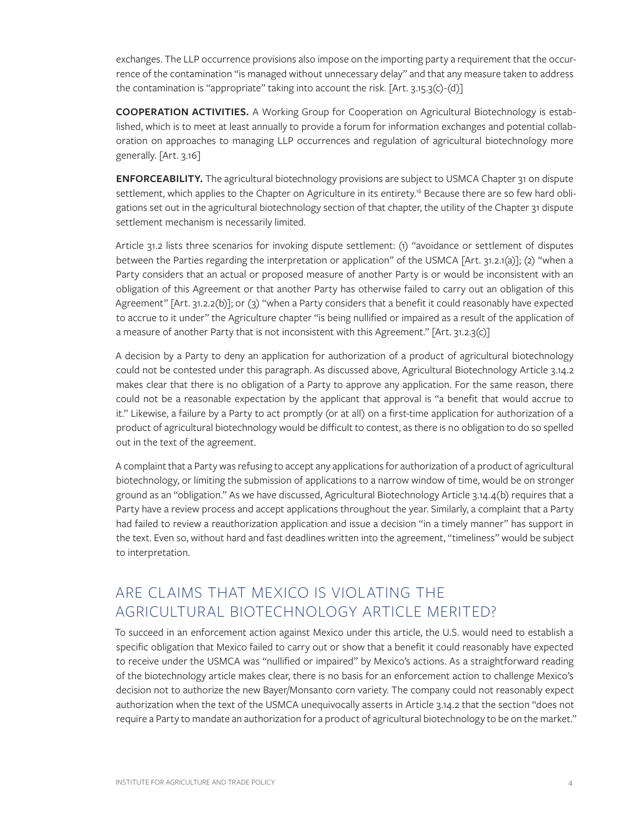<span id="page-3-0"></span>exchanges. The LLP occurrence provisions also impose on the importing party a requirement that the occurrence of the contamination "is managed without unnecessary delay" and that any measure taken to address the contamination is "appropriate" taking into account the risk. [Art. 3.15.3(c)-(d)]

**COOPERATION ACTIVITIES.** A Working Group for Cooperation on Agricultural Biotechnology is established, which is to meet at least annually to provide a forum for information exchanges and potential collaboration on approaches to managing LLP occurrences and regulation of agricultural biotechnology more generally. [Art. 3.16]

**ENFORCEABILITY.** The agricultural biotechnology provisions are subject to USMCA Chapter 31 on dispute settlement, which applies to the Chapter on Agriculture in its entirety.<sup>16</sup> Because there are so few hard obligations set out in the agricultural biotechnology section of that chapter, the utility of the Chapter 31 dispute settlement mechanism is necessarily limited.

Article 31.2 lists three scenarios for invoking dispute settlement: (1) "avoidance or settlement of disputes between the Parties regarding the interpretation or application" of the USMCA [Art. 31.2.1(a)]; (2) "when a Party considers that an actual or proposed measure of another Party is or would be inconsistent with an obligation of this Agreement or that another Party has otherwise failed to carry out an obligation of this Agreement" [Art. 31.2.2(b)]; or (3) "when a Party considers that a benefit it could reasonably have expected to accrue to it under" the Agriculture chapter "is being nullified or impaired as a result of the application of a measure of another Party that is not inconsistent with this Agreement." [Art. 31.2.3(c)]

A decision by a Party to deny an application for authorization of a product of agricultural biotechnology could not be contested under this paragraph. As discussed above, Agricultural Biotechnology Article 3.14.2 makes clear that there is no obligation of a Party to approve any application. For the same reason, there could not be a reasonable expectation by the applicant that approval is "a benefit that would accrue to it." Likewise, a failure by a Party to act promptly (or at all) on a first-time application for authorization of a product of agricultural biotechnology would be difficult to contest, as there is no obligation to do so spelled out in the text of the agreement.

A complaint that a Party was refusing to accept any applications for authorization of a product of agricultural biotechnology, or limiting the submission of applications to a narrow window of time, would be on stronger ground as an "obligation." As we have discussed, Agricultural Biotechnology Article 3.14.4(b) requires that a Party have a review process and accept applications throughout the year. Similarly, a complaint that a Party had failed to review a reauthorization application and issue a decision "in a timely manner" has support in the text. Even so, without hard and fast deadlines written into the agreement, "timeliness" would be subject to interpretation.

## ARE CLAIMS THAT MEXICO IS VIOLATING THE AGRICULTURAL BIOTECHNOLOGY ARTICLE MERITED?

To succeed in an enforcement action against Mexico under this article, the U.S. would need to establish a specific obligation that Mexico failed to carry out or show that a benefit it could reasonably have expected to receive under the USMCA was "nullified or impaired" by Mexico's actions. As a straightforward reading of the biotechnology article makes clear, there is no basis for an enforcement action to challenge Mexico's decision not to authorize the new Bayer/Monsanto corn variety. The company could not reasonably expect authorization when the text of the USMCA unequivocally asserts in Article 3.14.2 that the section "does not require a Party to mandate an authorization for a product of agricultural biotechnology to be on the market."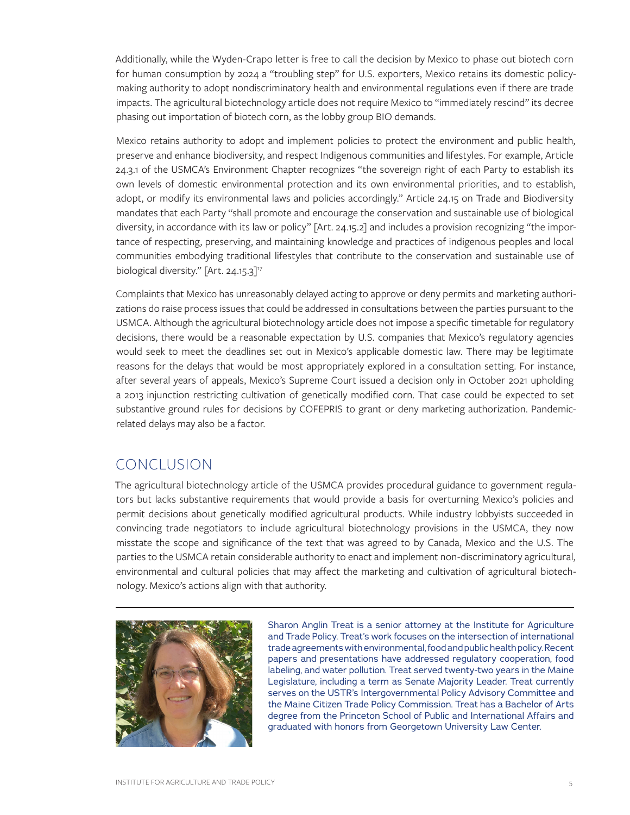<span id="page-4-0"></span>Additionally, while the Wyden-Crapo letter is free to call the decision by Mexico to phase out biotech corn for human consumption by 2024 a "troubling step" for U.S. exporters, Mexico retains its domestic policymaking authority to adopt nondiscriminatory health and environmental regulations even if there are trade impacts. The agricultural biotechnology article does not require Mexico to "immediately rescind" its decree phasing out importation of biotech corn, as the lobby group BIO demands.

Mexico retains authority to adopt and implement policies to protect the environment and public health, preserve and enhance biodiversity, and respect Indigenous communities and lifestyles. For example, Article 24.3.1 of the USMCA's Environment Chapter recognizes "the sovereign right of each Party to establish its own levels of domestic environmental protection and its own environmental priorities, and to establish, adopt, or modify its environmental laws and policies accordingly." Article 24.15 on Trade and Biodiversity mandates that each Party "shall promote and encourage the conservation and sustainable use of biological diversity, in accordance with its law or policy" [Art. 24.15.2] and includes a provision recognizing "the importance of respecting, preserving, and maintaining knowledge and practices of indigenous peoples and local communities embodying traditional lifestyles that contribute to the conservation and sustainable use of biological diversity." [Art. 24.15.3]<sup>17</sup>

Complaints that Mexico has unreasonably delayed acting to approve or deny permits and marketing authorizations do raise process issues that could be addressed in consultations between the parties pursuant to the USMCA. Although the agricultural biotechnology article does not impose a specific timetable for regulatory decisions, there would be a reasonable expectation by U.S. companies that Mexico's regulatory agencies would seek to meet the deadlines set out in Mexico's applicable domestic law. There may be legitimate reasons for the delays that would be most appropriately explored in a consultation setting. For instance, after several years of appeals, Mexico's Supreme Court issued a decision only in October 2021 upholding a 2013 injunction restricting cultivation of genetically modified corn. That case could be expected to set substantive ground rules for decisions by COFEPRIS to grant or deny marketing authorization. Pandemicrelated delays may also be a factor.

## CONCLUSION

The agricultural biotechnology article of the USMCA provides procedural guidance to government regulators but lacks substantive requirements that would provide a basis for overturning Mexico's policies and permit decisions about genetically modified agricultural products. While industry lobbyists succeeded in convincing trade negotiators to include agricultural biotechnology provisions in the USMCA, they now misstate the scope and significance of the text that was agreed to by Canada, Mexico and the U.S. The parties to the USMCA retain considerable authority to enact and implement non-discriminatory agricultural, environmental and cultural policies that may affect the marketing and cultivation of agricultural biotechnology. Mexico's actions align with that authority.



Sharon Anglin Treat is a senior attorney at the Institute for Agriculture and Trade Policy. Treat's work focuses on the intersection of international trade agreements with environmental, food and public health policy. Recent papers and presentations have addressed regulatory cooperation, food labeling, and water pollution. Treat served twenty-two years in the Maine Legislature, including a term as Senate Majority Leader. Treat currently serves on the USTR's Intergovernmental Policy Advisory Committee and the Maine Citizen Trade Policy Commission. Treat has a Bachelor of Arts degree from the Princeton School of Public and International Affairs and graduated with honors from Georgetown University Law Center.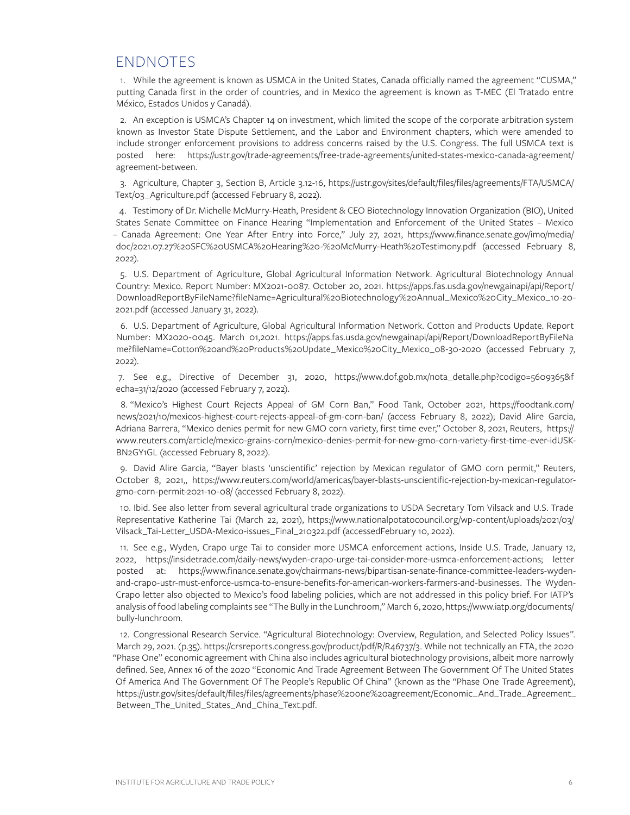### <span id="page-5-0"></span>ENDNOTES

1. [W](#page-0-0)hile the agreement is known as [USMCA](https://ustr.gov/trade-agreements/free-trade-agreements/united-states-mexico-canada-agreement) in the United States, [Canada](https://www.international.gc.ca/trade-commerce/trade-agreements-accords-commerciaux/agr-acc/cusma-aceum/text-texte/toc-tdm.aspx?lang=eng) officially named the agreement "CUSMA," putting Canada first in the order of countries, and in [Mexico](https://www.gob.mx/t-mec?state=published) the agreement is known as T-MEC (El Tratado entre México, Estados Unidos y Canadá).

2. [An](#page-0-0) exception is USMCA's [Chapter 14](https://ustr.gov/sites/default/files/files/agreements/FTA/USMCA/Text/14-Investment.pdf) on investment, which limited the scope of the corporate arbitration system known as Investor State Dispute Settlement, and the Labor and Environment chapters, which were [amended](https://ustr.gov/trade-agreements/free-trade-agreements/united-states-mexico-canada-agreement/protocol-amendments) to include stronger enforcement provisions to address concerns raised by the U.S. Congress. The full USMCA text is posted here: [https://ustr.gov/trade-agreements/free-trade-agreements/united-states-mexico-canada-agreement/](https://ustr.gov/trade-agreements/free-trade-agreements/united-states-mexico-canada-agreement/agreement-between) [agreement-between](https://ustr.gov/trade-agreements/free-trade-agreements/united-states-mexico-canada-agreement/agreement-between).

3. [Ag](#page-0-0)riculture, Chapter 3, Section B, Article 3.12-16, [https://ustr.gov/sites/default/files/files/agreements/FTA/USMCA/](https://ustr.gov/sites/default/files/files/agreements/FTA/USMCA/Text/03_Agriculture.pdf) [Text/03\\_Agriculture.pdf](https://ustr.gov/sites/default/files/files/agreements/FTA/USMCA/Text/03_Agriculture.pdf) (accessed February 8, 2022).

4. [Te](#page-0-0)stimony of Dr. Michelle McMurry-Heath, President & CEO Biotechnology Innovation Organization (BIO), United States Senate Committee on Finance Hearing "Implementation and Enforcement of the United States – Mexico – Canada Agreement: One Year After Entry into Force," July 27, 2021, [https://www.finance.senate.gov/imo/media/](https://www.finance.senate.gov/imo/media/doc/2021.07.27%20SFC%20USMCA%20Hearing%20-%20McMurry-Heath%20Testimony.pdf) [doc/2021.07.27%20SFC%20USMCA%20Hearing%20-%20McMurry-Heath%20Testimony.pdf](https://www.finance.senate.gov/imo/media/doc/2021.07.27%20SFC%20USMCA%20Hearing%20-%20McMurry-Heath%20Testimony.pdf) (accessed February 8, 2022).

5. [U.](#page-1-0)S. Department of Agriculture, Global Agricultural Information Network. Agricultural Biotechnology Annual Country: Mexico. Report Number: MX2021-0087. October 20, 2021. https://apps.fas.usda.gov/newgainapi/api/Report/ DownloadReportByFileName?fileName=Agricultural%20Biotechnology%20Annual\_Mexico%20City\_Mexico\_10-20- 2021.pdf (accessed January 31, 2022).

6. [U.](#page-1-0)S. Department of Agriculture, Global Agricultural Information Network. Cotton and Products Update. Report Number: MX2020-0045. March 01,2021. [https://apps.fas.usda.gov/newgainapi/api/Report/DownloadReportByFileNa](https://apps.fas.usda.gov/newgainapi/api/Report/DownloadReportByFileName?fileName=Cotton%20and%20Products%20Update_Mexico%20City_Mexico_08-30-2020) [me?fileName=Cotton%20and%20Products%20Update\\_Mexico%20City\\_Mexico\\_08-30-2020](https://apps.fas.usda.gov/newgainapi/api/Report/DownloadReportByFileName?fileName=Cotton%20and%20Products%20Update_Mexico%20City_Mexico_08-30-2020) (accessed February 7, 2022).

7. [Se](#page-1-0)e e.g., Directive of December 31, 2020, [https://www.dof.gob.mx/nota\\_detalle.php?codigo=5609365&f](https://www.dof.gob.mx/nota_detalle.php?codigo=5609365&fecha=31/12/2020) [echa=31/12/2020](https://www.dof.gob.mx/nota_detalle.php?codigo=5609365&fecha=31/12/2020) (accessed February 7, 2022).

8. ["](#page-1-0)Mexico's Highest Court Rejects Appeal of GM Corn Ban," Food Tank, October 2021, [https://foodtank.com/](https://foodtank.com/news/2021/10/mexicos-highest-court-rejects-appeal-of-gm-corn-ban/) [news/2021/10/mexicos-highest-court-rejects-appeal-of-gm-corn-ban/](https://foodtank.com/news/2021/10/mexicos-highest-court-rejects-appeal-of-gm-corn-ban/) (access February 8, 2022); David Alire Garcia, Adriana Barrera, "Mexico denies permit for new GMO corn variety, first time ever," October 8, 2021, Reuters, [https://](https://www.reuters.com/article/mexico-grains-corn/mexico-denies-permit-for-new-gmo-corn-variety-first-time-ever-idUSKBN2GY1GL) [www.reuters.com/article/mexico-grains-corn/mexico-denies-permit-for-new-gmo-corn-variety-first-time-ever-idUSK-](https://www.reuters.com/article/mexico-grains-corn/mexico-denies-permit-for-new-gmo-corn-variety-first-time-ever-idUSKBN2GY1GL)[BN2GY1GL](https://www.reuters.com/article/mexico-grains-corn/mexico-denies-permit-for-new-gmo-corn-variety-first-time-ever-idUSKBN2GY1GL) (accessed February 8, 2022).

9. [Da](#page-1-0)vid Alire Garcia, "Bayer blasts 'unscientific' rejection by Mexican regulator of GMO corn permit," Reuters, October 8, 2021,, [https://www.reuters.com/world/americas/bayer-blasts-unscientific-rejection-by-mexican-regulator](https://www.reuters.com/world/americas/bayer-blasts-unscientific-rejection-by-mexican-regulator-gmo-corn-permit-2021-10-08/)[gmo-corn-permit-2021-10-08/](https://www.reuters.com/world/americas/bayer-blasts-unscientific-rejection-by-mexican-regulator-gmo-corn-permit-2021-10-08/) (accessed February 8, 2022).

10. [I](#page-1-0)bid. See also letter from several agricultural trade organizations to USDA Secretary Tom Vilsack and U.S. Trade Representative Katherine Tai (March 22, 2021), [https://www.nationalpotatocouncil.org/wp-content/uploads/2021/03/](https://www.nationalpotatocouncil.org/wp-content/uploads/2021/03/Vilsack_Tai-Letter_USDA-Mexico-issues_Final_210322.pdf) [Vilsack\\_Tai-Letter\\_USDA-Mexico-issues\\_Final\\_210322.pdf](https://www.nationalpotatocouncil.org/wp-content/uploads/2021/03/Vilsack_Tai-Letter_USDA-Mexico-issues_Final_210322.pdf) (accessedFebruary 10, 2022).

11. [Se](#page-1-0)e e.g., Wyden, Crapo urge Tai to consider more USMCA enforcement actions, Inside U.S. Trade, January 12, 2022, <https://insidetrade.com/daily-news/wyden-crapo-urge-tai-consider-more-usmca-enforcement-actions>; letter posted at: [https://www.finance.senate.gov/chairmans-news/bipartisan-senate-finance-committee-leaders-wyden](https://www.finance.senate.gov/chairmans-news/bipartisan-senate-finance-committee-leaders-wyden-and-crapo-ustr-must-enforce-usmca-to-ensure-benefits-for-american-workers-farmers-and-businesses)[and-crapo-ustr-must-enforce-usmca-to-ensure-benefits-for-american-workers-farmers-and-businesses.](https://www.finance.senate.gov/chairmans-news/bipartisan-senate-finance-committee-leaders-wyden-and-crapo-ustr-must-enforce-usmca-to-ensure-benefits-for-american-workers-farmers-and-businesses) The Wyden-Crapo letter also objected to Mexico's food labeling policies, which are not addressed in this policy brief. For IATP's analysis of food labeling complaints see "The Bully in the Lunchroom," March 6, 2020, https://www.iatp.org/documents/ bully-lunchroom.

12. [C](#page-1-0)ongressional Research Service. "Agricultural Biotechnology: Overview, Regulation, and Selected Policy Issues". March 29, 2021. (p.35).<https://crsreports.congress.gov/product/pdf/R/R46737/3>. While not technically an FTA, the 2020 "Phase One" economic agreement with China also includes agricultural biotechnology provisions, albeit more narrowly defined. See, Annex 16 of the 2020 "Economic And Trade Agreement Between The Government Of The United States Of America And The Government Of The People's Republic Of China" (known as the "Phase One Trade Agreement), https://ustr.gov/sites/default/files/files/agreements/phase%20one%20agreement/Economic\_And\_Trade\_Agreement\_ Between\_The\_United\_States\_And\_China\_Text.pdf.